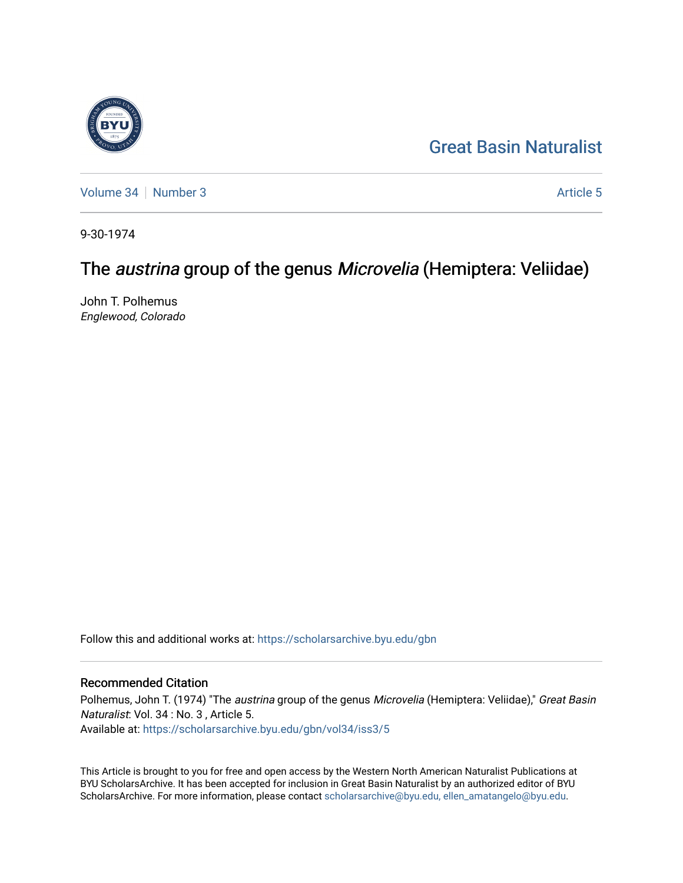## [Great Basin Naturalist](https://scholarsarchive.byu.edu/gbn)

[Volume 34](https://scholarsarchive.byu.edu/gbn/vol34) | [Number 3](https://scholarsarchive.byu.edu/gbn/vol34/iss3) [Article 5](https://scholarsarchive.byu.edu/gbn/vol34/iss3/5) Article 5

9-30-1974

# The austrina group of the genus Microvelia (Hemiptera: Veliidae)

John T. Polhemus Englewood, Colorado

Follow this and additional works at: [https://scholarsarchive.byu.edu/gbn](https://scholarsarchive.byu.edu/gbn?utm_source=scholarsarchive.byu.edu%2Fgbn%2Fvol34%2Fiss3%2F5&utm_medium=PDF&utm_campaign=PDFCoverPages) 

### Recommended Citation

Polhemus, John T. (1974) "The austrina group of the genus Microvelia (Hemiptera: Veliidae)," Great Basin Naturalist: Vol. 34 : No. 3 , Article 5. Available at: [https://scholarsarchive.byu.edu/gbn/vol34/iss3/5](https://scholarsarchive.byu.edu/gbn/vol34/iss3/5?utm_source=scholarsarchive.byu.edu%2Fgbn%2Fvol34%2Fiss3%2F5&utm_medium=PDF&utm_campaign=PDFCoverPages)

This Article is brought to you for free and open access by the Western North American Naturalist Publications at BYU ScholarsArchive. It has been accepted for inclusion in Great Basin Naturalist by an authorized editor of BYU ScholarsArchive. For more information, please contact [scholarsarchive@byu.edu, ellen\\_amatangelo@byu.edu.](mailto:scholarsarchive@byu.edu,%20ellen_amatangelo@byu.edu)

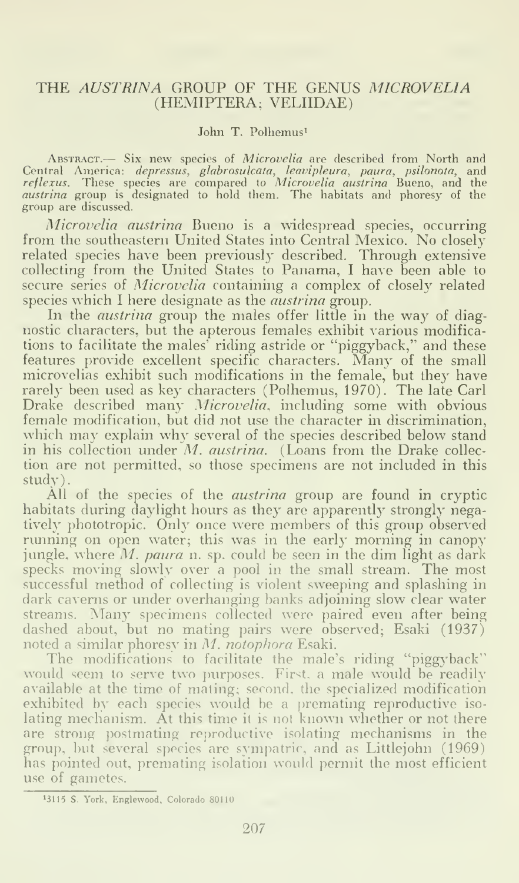#### THE AUSTRINA GROUP OF THE GENUS MICROVELIA (HEMIPTERA; VELIIDAE)

#### John T. Polhemus<sup>1</sup>

ABSTRACT.- Six new species of Microvelia are described from North and Central America: *depressus, glabrosulcata, leavipleura, paura, psilonota,* and<br>*reflexus. T*hese species are compared to *Microvelia austrina* Bueno, and the<br>*austrina* group is designated to hold them. The habitats and p group are discussed.

Microuelia austrina Bueno is a widespread species, occurring from the southeastern United States into Central Mexico. No closely related species have been previously described. Through extensive collecting from the United States to Panama, <sup>I</sup> have been able to secure series of Microvelia containing a complex of closely related species which I here designate as the *austrina* group.

In the *austrina* group the males offer little in the way of diagnostic characters, but the apterous females exhibit various modifications to facilitate the males' riding astride or "piggyback," and these features provide excellent specific characters. Many of the small microvelias exhibit such modifications in the female, but they have rarely been used as key characters (Polhemus, 1970). The late Carl Drake described many Microvelia, including some with obvious female modification, but did not use the character in discrimination, which may explain why several of the species described below stand in his collection under  $M$ . *austrina*. (Loans from the Drake collection are not permitted, so those specimens are not included in this study).

All of the species of the *austrina* group are found in cryptic habitats during daylight hours as they are apparently strongly negatively phototropic. Only once were members of this group observed running on open water; this was in the early morning in canopy jungle, where  $M$ . paura n. sp. could be seen in the dim light as dark specks moving slowly over a pool in the small stream. The most successful method of collecting is violent sweeping and splashing in dark caverns or under overhanging banks adjoining slow clear water streams. Many specimens collected were paired even after being dashed about, but no mating pairs were observed; Esaki  $(1937)^{\frac{1}{2}}$ noted a similar phoresy in M. notophora Esaki.

The modifications to facilitate the male's riding "piggyback" would seem to serve two purposes. First, a male would be readily available at the time of mating; second, the specialized modification exhibited by each species would be a premating reproductive isolating mechanism. At this time it is not known whether or not there are strong postmating reproductive isolating mechanisms in the group, but several species are sympatric, and as Littlejohn (1969) has pointed out, premating isolation would permit the most efficient use of gametes.

<sup>&</sup>gt;3115 S. York, Englewood, Colorado 80110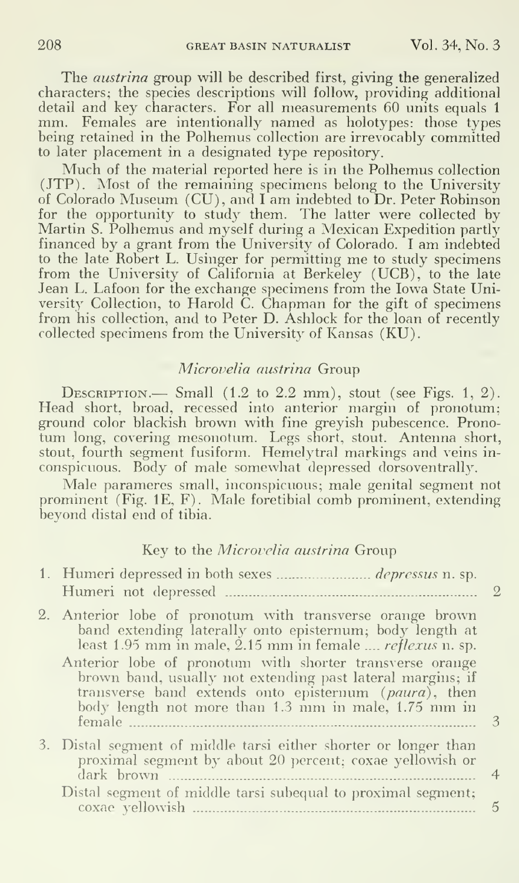The austrina group will be described first, giving the generalized characters; the species descriptions will follow, providing additional mm. Females are intentionally named as holotypes: those types being retained in the Polhemus collection are irrevocably committed to later placement in a designated type repository.

Much of the material reported here is in the Polhemus collection (JTP). Most of the remaining specimens belong to the University of Colorado Museum (CU), and <sup>I</sup> am indebted to Dr. Peter Robinson for the opportunity to study them. The latter were collected by Martin S. Polhemus and myself during a Mexican Expedition partly financed by <sup>a</sup> grant from the University of Colorado. <sup>I</sup> am indebted to the late Robert L. Usinger for permitting me to study specimens from the University of California at Rerkeley (UCB), to the late Jean L. Lafoon for the exchange specimens from the Iowa State University Collection, to Harold C. Chapman for the gift of specimens from his collection, and to Peter D. Ashlock for the loan of recently collected specimens from the University of Kansas (KU).

#### Microvelia austrina Group

DESCRIPTION.— Small  $(1.2 \text{ to } 2.2 \text{ mm})$ , stout (see Figs. 1, 2). Head short, broad, recessed into anterior margin of pronotum; ground color blackish brown with fine greyish pubescence. Pronotum long, covering mesonotum. Legs short, stout. Antenna short, stout, fourth segment fusiform. Hemelytral markings and veins in conspicuous. Body of male somewhat depressed dorsoventrally.

Male parameres small, inconspicuous; male genital segment not prominent (Fig. IE, F). Male foretibial comb prominent, extending beyond distal end of tibia.

#### Key to the Microvelia austrina Group

| Humeri not depressed                                                                                                                                                                                                                              |   |
|---------------------------------------------------------------------------------------------------------------------------------------------------------------------------------------------------------------------------------------------------|---|
| 2. Anterior lobe of pronotum with transverse orange brown<br>band extending laterally onto episternum; body length at<br>least 1.95 mm in male, 2.15 mm in female <i>reflexus</i> n. sp.                                                          |   |
| Anterior lobe of pronotum with shorter transverse orange<br>brown band, usually not extending past lateral margins; if<br>transverse band extends onto episternum (paura), then<br>body length not more than 1.3 mm in male, 1.75 mm in<br>female |   |
| 3. Distal segment of middle tarsi either shorter or longer than<br>proximal segment by about 20 percent; coxae yellowish or<br>dark brown                                                                                                         | 4 |
| Distal segment of middle tarsi subequal to proximal segment;<br>coxae yellowish                                                                                                                                                                   | 5 |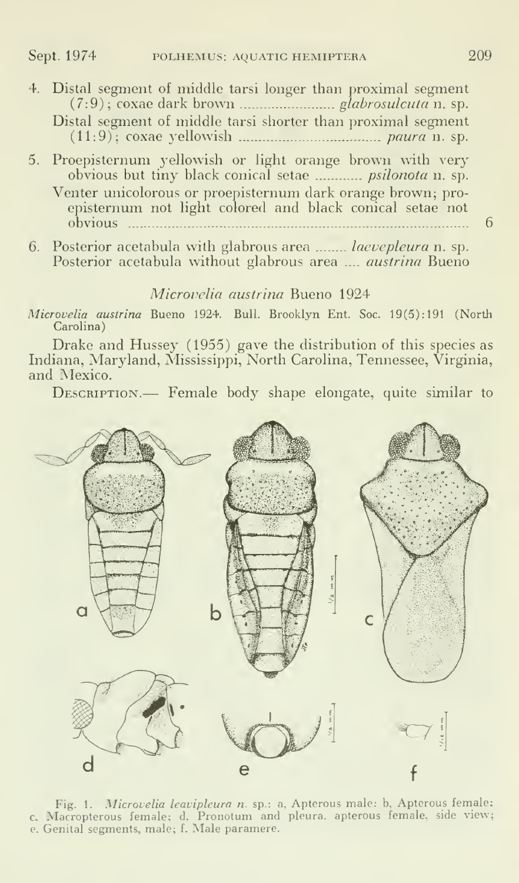- 4. Distal segment of middle tarsi longer than proximal segment (7:9); coxae dark brown glabrosulcuta n. sp. Distal segment of middle tarsi shorter than proximal segment (11:9); coxae yellowish paura n. sp.
- 5. Proepisternum yellowish or light orange brown with very obvious but tiny black conical setae psilonota n. sp. Venter unicolorous or proepisternum dark orange brown; pro episternum not light colored and black conical setae not obvious 6
- 6. Posterior acetabula with glabrous area ....... laevepleura n. sp. Posterior acetabula without glabrous area .... *austrina* Bueno

#### Microvelia austrina Bueno 1924

Microvelia austrina Bueno 1924. Bull. Brooklyn Ent. Soc. 19(5): 191 (North Carolina)

Drake and Hussey (1955) gave the distribution of this species as Indiana, Maryland, Mississippi, North Carolina, Tennessee, Virginia, and Mexico.

DESCRIPTION.— Female body shape elongate, quite similar to



Fig. 1. Microvelia leavipleura n. sp.: a, Apterous male; b, Apterous female; c, Macropterous female; d. Pronotum and pleura, apterous female, side view; e. Genital segments, male; f.Male paramere.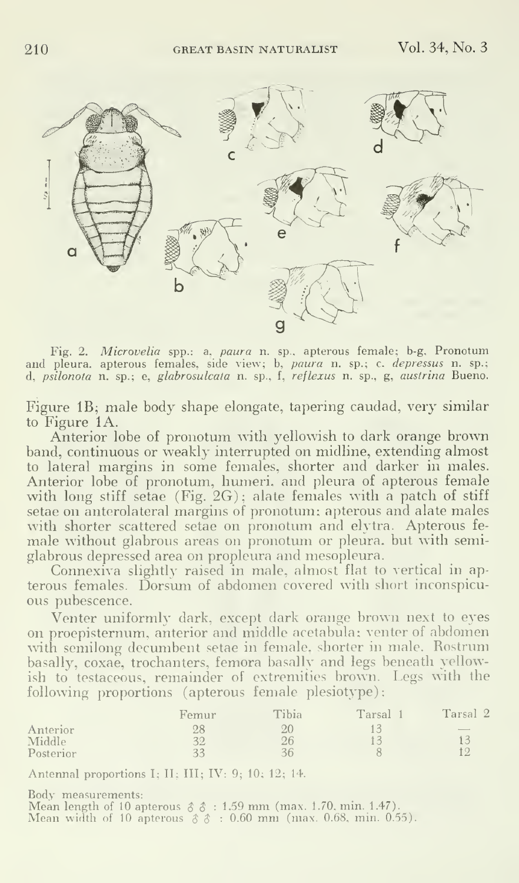

Fig. 2. Microvelia spp.: a, paura n. sp., apterous female; b-g. Pronotum and pleura, apterous females, side view; b, *paura* n. sp.; c. *depressus* n. sp.; a d, psilonola n. sp.; e, glabrosulcala n. sp.. f, reflexus n. sp., g, austrina Bueno.

Figure IB; male body shape elongate, tapering caudad, very similar to Figure 1A.

Anterior lobe of pronotum with yellowish to dark orange brown band, continuous or weakly interrupted on midline, extending almost to lateral margins in some females, shorter and darker in males. Anterior lobe of pronotum, humeri, and pleura of apterous female with long stiff setae (Fig. 2G); alate females with a patch of stiff setae on anterolateral margins of pronotum; apterous and alate males with shorter scattered setae on pronotum and elytra. Apterous fe male without glabrous areas on pronotum or pleura, but with semiglabrous depressed area on propleura and mesopleura.

Connexiva slightly raised in male, almost flat to vertical in ap terous females. Dorsum of abdomen covered with short inconspicu ous pubescence.

Venter uniformly dark, except dark orange brown next to eyes on proepisternum, anterior and middle acetabula; venter of abdomen with semilong decumbent setae in female, shorter in male. Rostrum basally, coxae, trochanters, femora basally and legs beneath yellowish to testaceous, remainder of extremities brown. Legs with the following proportions (apterous female plesiotype):

|           | Femur | Tibia | Tarsal | Tarsal <sub>2</sub> |
|-----------|-------|-------|--------|---------------------|
| Anterior  | 28    | 20    |        | $\sim$              |
| Middle    | 32    | 26    |        |                     |
| Posterior | 33    | 36    |        |                     |

Antenna! proportions I; II; III; IV: 9; 10; 12; 14.

Body measurements:<br>Mean length of 10 apterous  $\delta \delta : 1.59$  mm (max. 1.70, min. 1.47).<br>Mean width of 10 apterous  $\delta \delta : 0.60$  mm (max. 0.68, min. 0.55).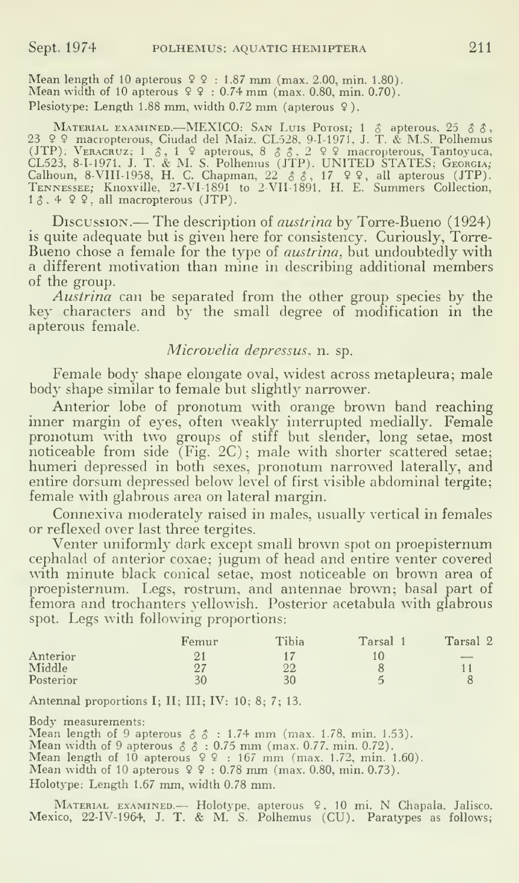Mean length of 10 apterous  $99 : 1.87$  mm (max. 2.00, min. 1.80).<br>Mean width of 10 apterous  $99 : 0.74$  mm (max. 0.80, min. 0.70). Plesiotype: Length 1.88 mm, width 0.72 mm (apterous 9).

MATERIAL EXAMINED.—MEXICO: SAN LUIS Potosi, 1 & apterous, 25 & &,<br>23 \ \ 23 \ \ 23 \ \ macropterous, Ciudad del Maiz, CL528, 9-1-1971, J. T. & M.S. Polhemus (JTP): VERACRUZ; 1  $\delta$ , 1  $\Omega$  apterous, 8  $\delta$   $\delta$ , 2  $\Omega$  9 macropterous, Tantoyuca,<br>CL523, 8-1-1971. J. T. & M. S. Polhemus (JTP). UNITED STATES; GEORGIA; Calhoun, 8-VIII-1958, H. C. Chapman, 22 δδ, 17 ♀♀, all apterous (JTP).<br>TENNESSEE; Knoxville, 27-VI-1891 to 2-VII-1891, H. E. Summers Collection,<br>1δ, 4 ♀♀, all macropterous (JTP).

Discussion.— The description of *austrina* by Torre-Bueno (1924) is quite adequate but is given here for consistency. Curiously, Torre- Bueno chose a female for the type of *austrina*, but undoubtedly with a different motivation than mine in describing additional members of the group.

Austrina can be separated from the other group species by the key characters and by the small degree of modification in the apterous female.

#### Microvelia depressus, n. sp.

Female body shape elongate oval, widest across metapleura; male body shape similar to female but slightly narrower.

Anterior lobe of pronotum with orange brown band reaching inner margin of eyes, often weakly interrupted medially. Female pronotiun with two groups of stiff but slender, long setae, most noticeable from side (Fig. 2C) ; male with shorter scattered setae; humeri depressed in both sexes, pronotum narrowed laterally, and entire dorsum depressed below level of first visible abdominal tergite; female with glabrous area on lateral margin.

Connexiva moderately raised in males, usually vertical in females or reflexed over last three tergites.

Venter uniformly dark except small brown spot on proepisternum cephalad of anterior coxae; jugum of head and entire venter covered with minute black conical setae, most noticeable on brown area of proepisternum. Legs, rostrum, and antennae brown; basal part of femora and trochanters yellowish. Posterior acetabula with glabrous spot. Legs with following proportions:

| Femur | Tibia | Tarsal | Tarsal 2 |
|-------|-------|--------|----------|
|       |       | 10     | $-$      |
| O7    | 22    |        |          |
| 30    | 30    |        |          |
|       |       |        |          |

Antennal proportions I; II; III; IV: 10; 8; 7; 13.

Body measurements:<br>
Mean length of 9 apterous  $\delta \delta : 1.74$  mm (max. 1.78, min. 1.53).<br>
Mean width of 9 apterous  $\delta \delta : 0.75$  mm (max. 0.77, min. 0.72).<br>
Mean length of 10 apterous  $\Omega \Omega : 167$  mm (max. 1.72, min. 1.60).<br>
M

Holotype: Length 1.67 mm, width 0.78 mm.

MATERIAL EXAMINED. — Holotype, apterous 9, 10 mi. N Chapala. Jalisco. Mexico, 22-IV-1964, J. T. & M. S. Polhemus (CU). Paratypes as follows;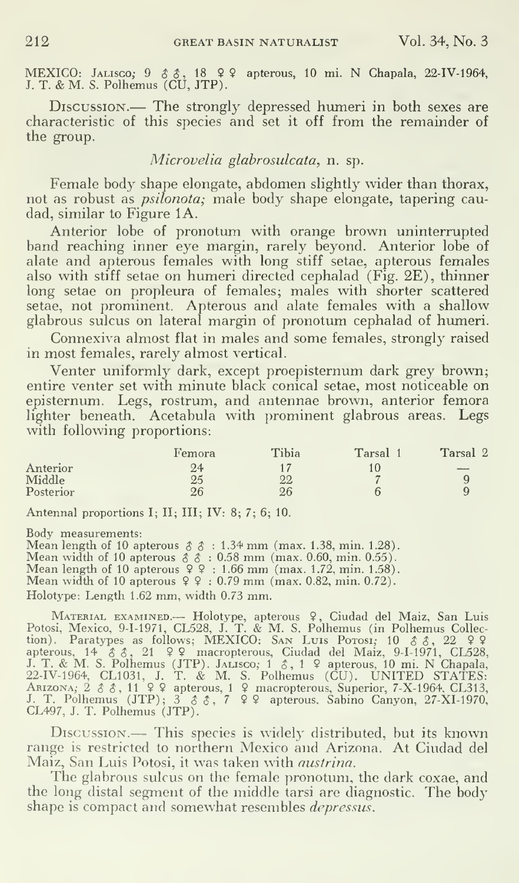MEXICO: Jalisco; 9 & &, 18 9 9 apterous, 10 mi. N Chapala, 22-IV-1964, J. T. & M. S. Polhemus (CU, JTP).

Discussion.— The strongly depressed humeri in both sexes are characteristic of this species and set it off from the remainder of the group.

#### Microvelia glabrosulcata, n. sp.

Female body shape elongate, abdomen slightly wider than thorax, not as robust as psilonota; male body shape elongate, tapering caudad, similar to Figure 1A.

Anterior lobe of pronotum with orange brown uninterrupted band reaching inner eye margin, rarely beyond. Anterior lobe of alate and apterous females with long stiff setae, apterous females also with stiff setae on humeri directed cephalad (Fig. 2E), thinner long setae on propleura of females; males with shorter scattered setae, not prominent. Apterous and alate females with a shallow glabrous sulcus on lateral margin of pronotum cephalad of humeri.

Connexiva almost flat in males and some females, strongly raised in most females, rarely almost vertical.

Venter uniformly dark, except proepisternum dark grey brown; entire venter set with minute black conical setae, most noticeable on episternum. Legs, rostrum, and antennae brown, anterior femora lighter beneath. Acetabula with prominent glabrous areas. Legs with following proportions:

|           | Femora | Tibia | Tarsal 1 | Tarsal 2 |
|-----------|--------|-------|----------|----------|
| Anterior  | 24     |       |          | $-$      |
| Middle    | 25     | 22    |          |          |
| Posterior | 26     | 26    |          |          |

Antennal proportions I; II; III; IV: 8; 7; 6; 10.

Body measurements:<br>
Mean length of 10 apterous  $\delta \hat{\delta}$ : 1.34 mm (max. 1.38, min. 1.28).<br>
Mean width of 10 apterous  $\delta \hat{\delta}$ : 0.58 mm (max. 0.60, min. 0.55).<br>
Mean length of 10 apterous  $\varphi$   $\varphi$ : 1.66 mm (max. 1.72,

Holotype: Length 1.62 mm, width 0.73 mm.

MATERIAL EXAMINED.— Holotype, apterous 9, Ciudad del Maiz, San Luis<br>Potosi, Mexico, 9-1-1971, CL528, J. T. & M. S. Polhemus (in Polhemus Collection). Paratypes as follows; MEXICO: SAN Luis Porosi; 10  $\circ$   $\circ$   $\circ$  , 22  $\$ apterous, 14  $\delta$   $\delta$ , 21  $\Omega$  9 macropterous, Ciudad del Maiz, 9-I-1971, CL528, J. T. & M. S. Polhemus (JTP). JALIsco; 1  $\delta$ , 1  $\Omega$  apterous, 10 mi. N Chapala, C2-IV-1964, CL1031, J. T. & M. S. Polhemus (CU). UNITED S

Discussion.— This species is widely distributed, but its known range is restricted to northern Mexico and Arizona. At Ciudad del Maiz, San Luis Potosi, it was taken with austrina.

The glabrous sulcus on the female pronotum, the dark coxae, and the long distal segment of the middle tarsi are diagnostic. The body shape is compact and somewhat resembles *depressus*.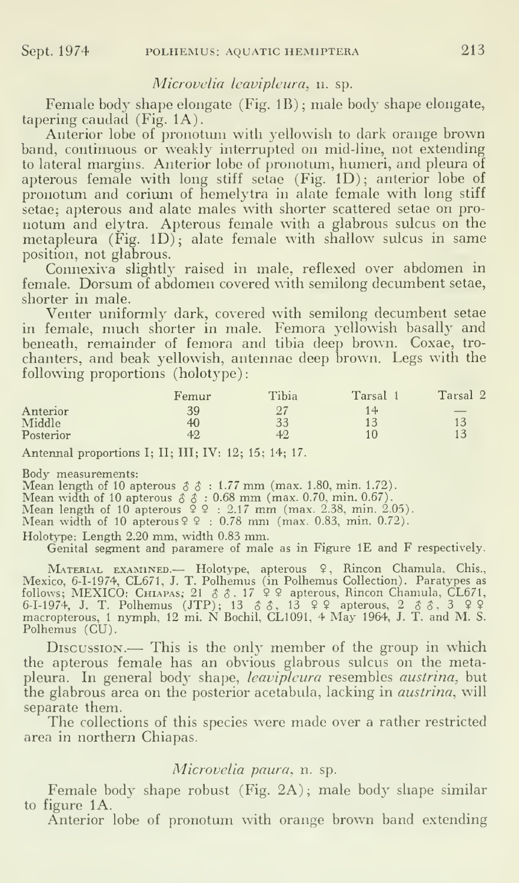#### Microvelia leavipleura, n. sp.

Female body shape elongate (Fig. IB) ; male body shape elongate, tapering caudad  $(Fig. 1A)$ .

Anterior lobe of pronotum with yellowish to dark orange brown band, continuous or weakly interrupted on mid-line, not extending to lateral margins. Anterior lobe of pronotum, humeri, and pleura of apterous female with long stiff setae (Fig. ID); anterior lobe of pronotum and corium of hemelytra in alate female with long stiff setae; apterous and alate males with shorter scattered setae on pro notum and elytra. Apterous female with a glabrous sulcus on the metapleura  $(Fig. 1D)$ ; alate female with shallow sulcus in same position, not glabrous.

Connexiva slightly raised in male, reflexed over abdomen in female. Dorsum of abdomen covered with semilong decumbent setae, shorter in male.

Venter uniformly dark, covered with semilong decumbent setae in female, much shorter in male. Femora yellowish basally and beneath, remainder of femora and tibia deep brown. Coxae, tro chanters, and beak yellowish, antennae deep brown. Legs with the following proportions (holotype):

|           | Femur | Tibia  | Tarsal | Tarsal 2                 |
|-----------|-------|--------|--------|--------------------------|
| Anterior  | 39    | $\sim$ | 14.    | $\overline{\phantom{a}}$ |
| Middle    | 40    | 33     | 10     |                          |
| Posterior | 42    | 40     | 10     |                          |

Antennal proportions I; II; III; IV: 12; 15; 14; 17.

Body measurements:<br>
Mean length of 10 apterous  $\delta \hat{\delta}$ : 1.77 mm (max. 1.80, min. 1.72).<br>
Mean width of 10 apterous  $\delta \hat{\delta}$ : 0.68 mm (max. 0.70, min. 0.67).<br>
Mean length of 10 apterous  $\hat{\varphi}$   $\hat{\varphi}$ : 2.17 mm (max.

Holotype: Length 2.20 mm, width 0.83 mm.

Genital segment and paramere of male as in Figure IE and F respectively.

MATERIAL EXAMINED.— Holotype, apterous <sup>9</sup> , Rincon Chamula. Chis., Mexico, 6-1-1974, CL671, J. T. Polhemus (in Polhemus Collection). Paratypes as follows; MEXICO: CHIAPAS; 21  $\delta$   $\delta$ , 17  $\hat{\varphi}$  2 apterous, Rincon Chamula, CL671, 6-I-1974, J. T. Polhemus (JTP); 13  $\delta$   $\delta$ , 13  $\varphi$  2 apterous, 2  $\delta$   $\delta$ , 3  $\varphi$  2 macropterous, 1 nymph, 12 mi. N Bochil, CL10 Polhemus (CU).<br>Discussion.— This is the only member of the group in which

the apterous female has an obvious glabrous sulcus on the metapleura. In general body shape, leavipleura resembles austrina, but the glabrous area on the posterior acetabula, lacking in *austrina*, will separate them.

The collections of this species were made over <sup>a</sup> rather restricted area in northern Chiapas.

#### Microvelia paura, n. sp.

Female body shape robust (Fig. 2A) ; male body shape similar to figure lA.

Anterior lobe of pronotum with orange brown band extending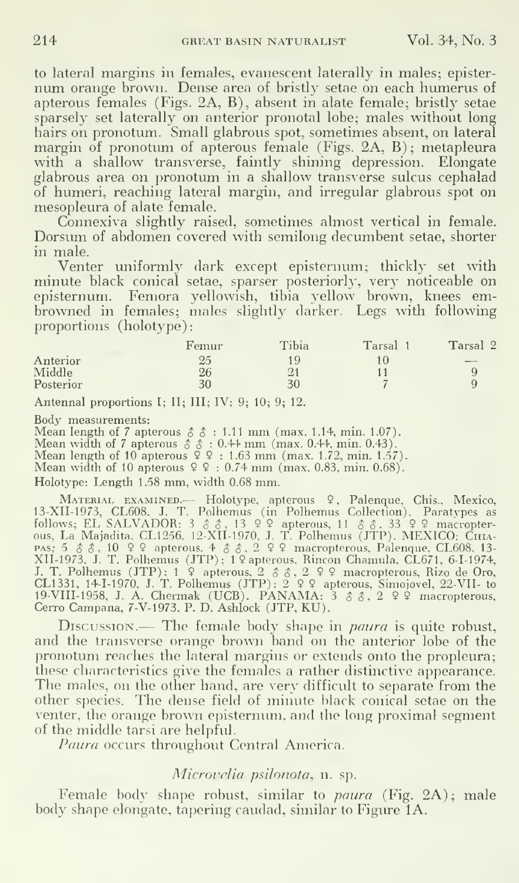to lateral margins in females, evanescent laterally in males; episternum orange brown. Dense area of bristly setae on each humerus of apterous females (Figs. 2A, B), absent in alate female; bristly setae sparsely set laterally on anterior pronotal lobe; males without long hairs on pronotum. Small glabrous spot, sometimes absent, on lateral margin of pronotum of apterous female (Figs. 2A, B); metapleura with a shallow transverse, faintly shining depression. Elongate glabrous area on pronotum in a shallow transverse sulcus cephalad of humeri, reaching lateral margin, and irregular glabrous spot on mesopleura of alate female.

Connexiva slightly raised, sometimes almost vertical in female. Dorsum of abdomen covered with semilong decumbent setae, shorter in male.

Venter uniformly dark except episternum; thickly set with minute black conical setae, sparser posteriorly, very noticeable on episternum. Femora yellowish, tibia yellow brown, knees em browned in females; males slightly darker. Legs with following proportions (holotype)

|                         | Femur | Tibia | Tarsal         | Tarsal 2 |
|-------------------------|-------|-------|----------------|----------|
| Anterior                | 25    | 19    |                | $-$      |
| $\operatorname{Middle}$ | 26    | ل ہے۔ |                |          |
| Posterior               | 30    | 30    | $\overline{ }$ |          |
|                         |       |       |                |          |

Antennal proportions I; II; III; IV: 9; 10; 9; 12.

Body measurements:<br>
Mean length of 7 apterous  $\hat{\delta}$   $\hat{\delta}$  : 1.11 mm (max. 1.14, min. 1.07).<br>
Mean width of 7 apterous  $\hat{\delta}$   $\hat{\delta}$  : 0.44 mm (max. 0.44, min. 0.43).<br>
Mean length of 10 apterous  $\hat{\gamma}$   $\hat{\gamma}$  : 1.6

Holotype: Length 1.58 mm, width 0.68 mm.

MATERIAL EXAMINED. Holotype, apterous 9, Palenque, Chis., Mexico, 13-XII-1973, CL608, J. T. Polhemus (in Polhemus Collection). Paratypes as follows; EL SALVADOR: 3  $\delta$   $\delta$ , 13  $\Omega$  apterous, 11  $\delta$   $\delta$ , 33  $\Omega$   $\Omega$  m pas- <sup>5</sup> \$ \$ , 10 9 9 apterous, 4 \$ \$, 2 9 9 macropterous, Palenque. CL608, 13- XII-1973, J. T. Polhemus (JTP); <sup>1</sup> 9 apterous. Rincon Chamula. CL671. 6-1-1974, J. T. Polhemus (JTP); <sup>1</sup> <sup>9</sup> apterous, <sup>2</sup> \$ \$, <sup>2</sup> <sup>9</sup> <sup>9</sup> macropterous. Rizo de Oro, CL1331, 14-M970, J. T. Polhemus (JTP); <sup>2</sup> <sup>9</sup> <sup>9</sup> apterous, Simojovel 22-VII- to 19-VIII-1958, J. A. Chermak (UCB). PANAMA: <sup>3</sup> \$ \$, <sup>2</sup> <sup>9</sup> <sup>9</sup> macropterous, Cerro Campana, 7-V-1973, P. D. Ashlock (JTP, KU).

DISCUSSION.— The female body shape in *paura* is quite robust, and the transverse orange brown band on the anterior lobe of the pronotum reaches the lateral margins or extends onto the propleura; these characteristics give the females a rather distinctive appearance. The males, on the other hand, are very difficult to separate from the other species. The dense field of minute black conical setae on the venter, the orange brown episternum, and the long proximal segment of the middle tarsi are helpful.

Paura occurs throughout Central America.

#### Microvelia psilonota, n. sp.

Female body shape robust, similar to *paura* (Fig. 2A); male body shape elongate, tapering caudad, similar to Figure 1A.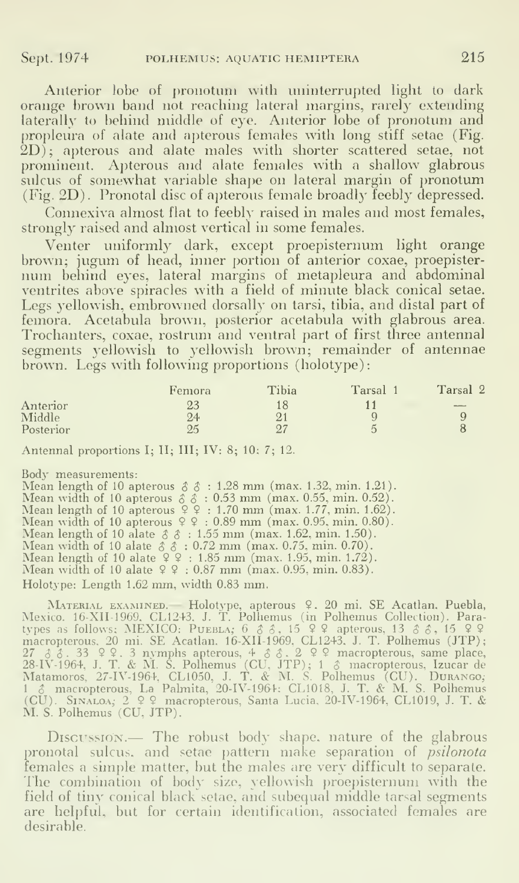Anterior lobe of pronotum with uninterrupted light to dark orange brown band not reaching lateral margins, rarely extending laterally to behind middle of eye. Anterior lobe of pronotum and propleura of alate and apterous females with long stiff setae (Fig. 2D); apterous and alate males with shorter scattered setae, not prominent. Apterous and alate females with a shallow glabrous sulcus of somewhat variable shape on lateral margin of pronotum (Fig. 2D) . Pronotal disc of apterous female broadly feebly depressed.

Connexiva almost flat to feebly raised in males and most females, strongly raised and almost vertical in some females.

Venter uniformly dark, except proepisternum light orange brown; jugum of head, inner portion of anterior coxae, proepisternum behind eyes, lateral margins of metapleura and abdominal ventrites above spiracles with a field of minute black conical setae. Legs yellowish, embrowned dorsally on tarsi, tibia, and distal part of femora. Acetabula brown, posterior acetabula with glabrous area. Trochanters, coxae, rostrum and ventral part of first three antennal segments yellowish to yellowish brown; remainder of antennae brown. Legs with following proportions (holotype):

|           | Femora | Tibia         | Tarsal | Tarsal 2          |
|-----------|--------|---------------|--------|-------------------|
| Anterior  |        |               |        | <b>CONTRACTOR</b> |
| Middle    | 24     | $\Omega$<br>∠ |        |                   |
| Posterior | OΚ     | O7<br>↩       |        |                   |

Antennal proportions I; II; III; IV: 8; 10; 7; 12.

Body measurements:<br>
Mean length of 10 apterous  $\delta \; \delta : 1.28$  mm (max. 1.32, min. 1.21).<br>
Mean width of 10 apterous  $\delta \; \delta : 0.53$  mm (max. 0.55, min. 0.52).<br>
Mean length of 10 apterous  $9$   $9$  : 1.70 mm (max. 1.77, min. Holotype: Length 1.62 mm, width 0.83 mm.

MATERIAL EXAMINED. Holotype, apterous 9. 20 mi. SE Acatlan, Puebla,<br>Mexico. 16-XII-1969. CL1243. J. T. Polliemus (in Polhemus Collection). Para-<br>types as follows: MEXICO: PUEBLA; 6  $\delta$   $\delta$ , 15  $\Omega$  apterous, 13  $\delta$   $\delta$ <sup>1</sup> \$ macropterous. La Palmita, 20-IV-1964; CL1018. J. T. & M. S. Polhemus (CU). Sinaloa; 2 9 9 macropterous, Santa Lucia. 20-IV-1964, CL1019, J. T. & M. S. Polhemus (CU, JTP).

Discussion.— The robust body shape, nature of the glabrous pronotal sulcus, and setae pattern make separation of *psilonota* females a simple matter, but the males are very difficult to separate. The combination of body size, yellowish proepisternum with the field of tiny conical black setae, and subequal middle tarsal segments are helpful, but for certain identification, associated females are desirable.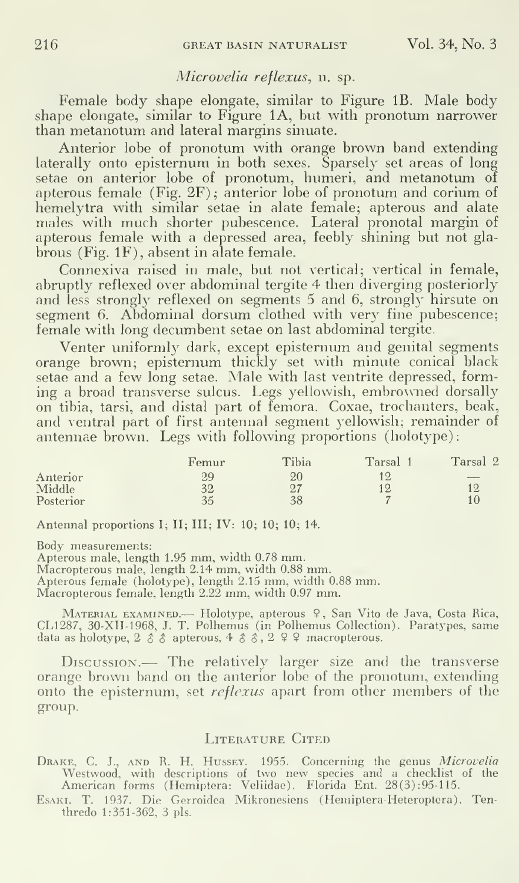#### Microvelia reflexus, n. sp.

Female body shape elongate, similar to Figure IB. Male body shape elongate, similar to Figure 1A, but with pronotum narrower than metanotum and lateral margins sinuate.

Anterior lobe of pronotum with orange brown band extending laterally onto episternum in both sexes. Sparsely set areas of long setae on anterior lobe of pronotum, humeri, and metanotum of apterous female (Fig.  $2F$ ); anterior lobe of pronotum and corium of hemelytra with similar setae in alate female; apterous and alate males with much shorter pubescence. Lateral pronotal margin of apterous female with a depressed area, feebly shining but not glabrous (Fig. IF), absent in alate female.

Connexiva raised in male, but not vertical; vertical in female, abruptly reflexed over abdominal tergite 4 then diverging posteriorly and less strongly reflexed on segments 5 and 6, strongly hirsute on segment 6. Abdominal dorsum clothed with very fine pubescence; female with long decumbent setae on last abdominal tergite.

Venter uniformly dark, except episternum and genital segments orange brown; episternum thickly set with minute conical black setae and a few long setae. Male with last ventrite depressed, forming a broad transverse sulcus. Legs yellowish, embrowned dorsally on tibia, tarsi, and distal part of femora. Coxae, trochanters, beak, and ventral part of first antennal segment yellowish; remainder of antennae brown. Legs with following proportions (holotype):

|           | Femur | Tibia | Tarsal         | Tarsal 2       |
|-----------|-------|-------|----------------|----------------|
| Anterior  |       | 20    | 19             | <b>MARINEZ</b> |
| Middle    | 32    | 07    | 12             | 12             |
| Posterior | 35    | 38    | $\overline{ }$ | 10             |

Antennal proportions I; 11; III; IV: 10; 10; 10; 14.

Body measurements:

Apterous male, length 1.95 mm, width 0.78 mm.

Macropterous male, length 2.14 mm, width 0.88 mm. Apterous female (holotype), length 2.15 mm, width 0.88 mm.

Macropterous female, length 2.22 mm, width 0.97 mm.

Material examined.— Holotype, apterous <sup>9</sup> , San Vito de Java, Costa Rica, CL1287, 30-XII-1968, J. T. Polhemus (in Polhemus Collection). Paratypes, same data as holotype,  $2 \land \land$  apterous,  $4 \land \land \land$ ,  $2 \lor 2 \lor$  macropterous.

Discussion.— The relatively larger size and the transverse orange brown band on the anterior lobe of the pronotum, extending onto the episternum, set reflexus apart from other members of the group.

#### LITERATURE CITED

DRAKE, C. J., AND R. H. HUSSEY. 1955. Concerning the genus *Microvelia* Westwood, with descriptions of two new species and a checklist of the American forms (Hemiptera: Veliidae). Florida Ent. 28(3):95-115.

EsAKi, T. 1937. Die Gcrroidea Mikronesiens (Hemiptera-Heteroptera). Tenthredo 1:351-362, 3 pis.